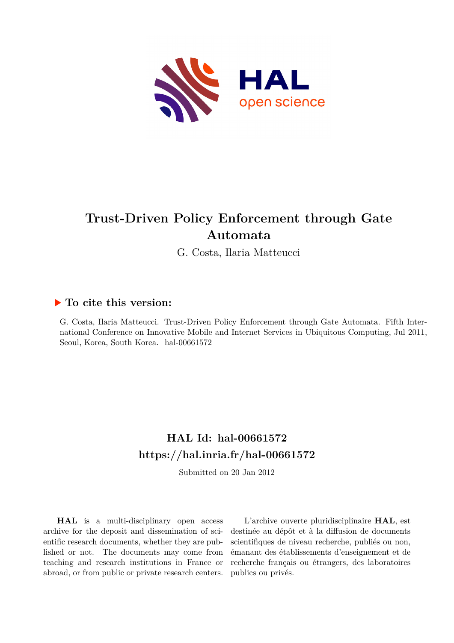

# **Trust-Driven Policy Enforcement through Gate Automata**

G. Costa, Ilaria Matteucci

# **To cite this version:**

G. Costa, Ilaria Matteucci. Trust-Driven Policy Enforcement through Gate Automata. Fifth International Conference on Innovative Mobile and Internet Services in Ubiquitous Computing, Jul 2011, Seoul, Korea, South Korea. hal-00661572

# **HAL Id: hal-00661572 <https://hal.inria.fr/hal-00661572>**

Submitted on 20 Jan 2012

**HAL** is a multi-disciplinary open access archive for the deposit and dissemination of scientific research documents, whether they are published or not. The documents may come from teaching and research institutions in France or abroad, or from public or private research centers.

L'archive ouverte pluridisciplinaire **HAL**, est destinée au dépôt et à la diffusion de documents scientifiques de niveau recherche, publiés ou non, émanant des établissements d'enseignement et de recherche français ou étrangers, des laboratoires publics ou privés.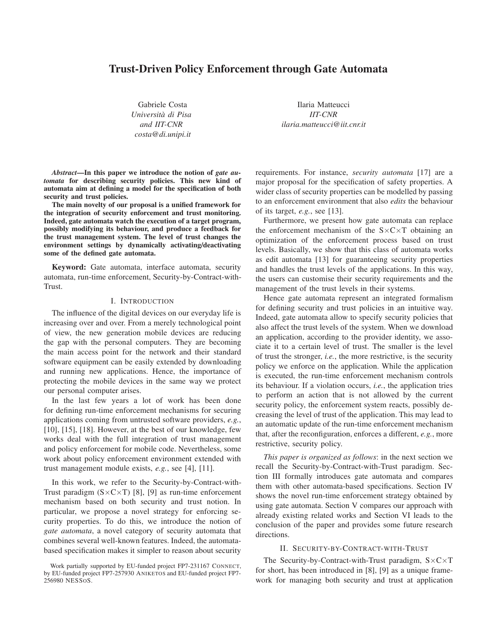# **Trust-Driven Policy Enforcement through Gate Automata**

Gabriele Costa *Universita di Pisa ` and IIT-CNR costa@di.unipi.it*

Ilaria Matteucci *IIT-CNR ilaria.matteucci@iit.cnr.it*

*Abstract***—In this paper we introduce the notion of** *gate automata* **for describing security policies. This new kind of automata aim at defining a model for the specification of both security and trust policies.**

**The main novelty of our proposal is a unified framework for the integration of security enforcement and trust monitoring. Indeed, gate automata watch the execution of a target program, possibly modifying its behaviour, and produce a feedback for the trust management system. The level of trust changes the environment settings by dynamically activating/deactivating some of the defined gate automata.**

**Keyword:** Gate automata, interface automata, security automata, run-time enforcement, Security-by-Contract-with-Trust.

# I. INTRODUCTION

The influence of the digital devices on our everyday life is increasing over and over. From a merely technological point of view, the new generation mobile devices are reducing the gap with the personal computers. They are becoming the main access point for the network and their standard software equipment can be easily extended by downloading and running new applications. Hence, the importance of protecting the mobile devices in the same way we protect our personal computer arises.

In the last few years a lot of work has been done for defining run-time enforcement mechanisms for securing applications coming from untrusted software providers, *e.g.*,  $[10]$ ,  $[15]$ ,  $[18]$ . However, at the best of our knowledge, few works deal with the full integration of trust management and policy enforcement for mobile code. Nevertheless, some work about policy enforcement environment extended with trust management module exists, *e.g.*, see [4], [11].

In this work, we refer to the Security-by-Contract-with-Trust paradigm  $(S \times C \times T)$  [8], [9] as run-time enforcement mechanism based on both security and trust notion. In particular, we propose a novel strategy for enforcing security properties. To do this, we introduce the notion of *gate automata*, a novel category of security automata that combines several well-known features. Indeed, the automatabased specification makes it simpler to reason about security requirements. For instance, *security automata* [17] are a major proposal for the specification of safety properties. A wider class of security properties can be modelled by passing to an enforcement environment that also *edits* the behaviour of its target, *e.g.*, see [13].

Furthermore, we present how gate automata can replace the enforcement mechanism of the  $S \times C \times T$  obtaining an optimization of the enforcement process based on trust levels. Basically, we show that this class of automata works as edit automata [13] for guaranteeing security properties and handles the trust levels of the applications. In this way, the users can customise their security requirements and the management of the trust levels in their systems.

Hence gate automata represent an integrated formalism for defining security and trust policies in an intuitive way. Indeed, gate automata allow to specify security policies that also affect the trust levels of the system. When we download an application, according to the provider identity, we associate it to a certain level of trust. The smaller is the level of trust the stronger, *i.e.*, the more restrictive, is the security policy we enforce on the application. While the application is executed, the run-time enforcement mechanism controls its behaviour. If a violation occurs, *i.e.*, the application tries to perform an action that is not allowed by the current security policy, the enforcement system reacts, possibly decreasing the level of trust of the application. This may lead to an automatic update of the run-time enforcement mechanism that, after the reconfiguration, enforces a different, *e.g.*, more restrictive, security policy.

*This paper is organized as follows*: in the next section we recall the Security-by-Contract-with-Trust paradigm. Section III formally introduces gate automata and compares them with other automata-based specifications. Section IV shows the novel run-time enforcement strategy obtained by using gate automata. Section V compares our approach with already existing related works and Section VI leads to the conclusion of the paper and provides some future research directions.

### II. SECURITY-BY-CONTRACT-WITH-TRUST

The Security-by-Contract-with-Trust paradigm,  $S \times C \times T$ for short, has been introduced in [8], [9] as a unique framework for managing both security and trust at application

Work partially supported by EU-funded project FP7-231167 CONNECT, by EU-funded project FP7-257930 ANIKETOS and EU-funded project FP7- 256980 NESSOS.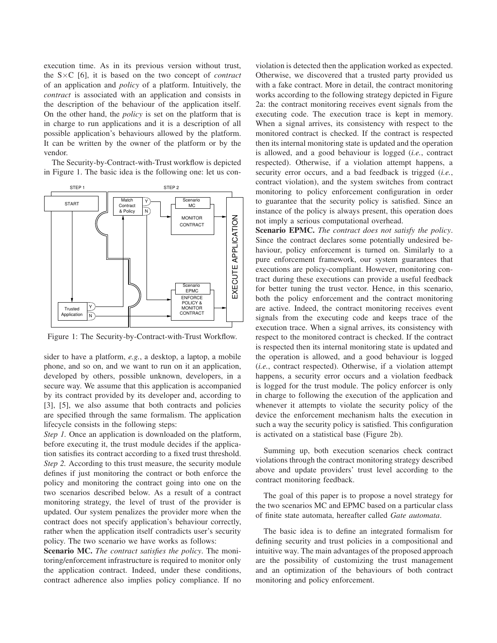execution time. As in its previous version without trust, the S×C [6], it is based on the two concept of *contract* of an application and *policy* of a platform. Intuitively, the *contract* is associated with an application and consists in the description of the behaviour of the application itself. On the other hand, the *policy* is set on the platform that is in charge to run applications and it is a description of all possible application's behaviours allowed by the platform. It can be written by the owner of the platform or by the vendor.

The Security-by-Contract-with-Trust workflow is depicted in Figure 1. The basic idea is the following one: let us con-



Figure 1: The Security-by-Contract-with-Trust Workflow.

sider to have a platform, *e.g.*, a desktop, a laptop, a mobile phone, and so on, and we want to run on it an application, developed by others, possible unknown, developers, in a secure way. We assume that this application is accompanied by its contract provided by its developer and, according to [3], [5], we also assume that both contracts and policies are specified through the same formalism. The application lifecycle consists in the following steps:

*Step 1.* Once an application is downloaded on the platform, before executing it, the trust module decides if the application satisfies its contract according to a fixed trust threshold. *Step 2.* According to this trust measure, the security module defines if just monitoring the contract or both enforce the policy and monitoring the contract going into one on the two scenarios described below. As a result of a contract monitoring strategy, the level of trust of the provider is updated. Our system penalizes the provider more when the contract does not specify application's behaviour correctly, rather when the application itself contradicts user's security policy. The two scenario we have works as follows:

**Scenario MC.** *The contract satisfies the policy*. The monitoring/enforcement infrastructure is required to monitor only the application contract. Indeed, under these conditions, contract adherence also implies policy compliance. If no violation is detected then the application worked as expected. Otherwise, we discovered that a trusted party provided us with a fake contract. More in detail, the contract monitoring works according to the following strategy depicted in Figure 2a: the contract monitoring receives event signals from the executing code. The execution trace is kept in memory. When a signal arrives, its consistency with respect to the monitored contract is checked. If the contract is respected then its internal monitoring state is updated and the operation is allowed, and a good behaviour is logged (*i.e.*, contract respected). Otherwise, if a violation attempt happens, a security error occurs, and a bad feedback is trigged (*i.e.*, contract violation), and the system switches from contract monitoring to policy enforcement configuration in order to guarantee that the security policy is satisfied. Since an instance of the policy is always present, this operation does not imply a serious computational overhead.

**Scenario EPMC.** *The contract does not satisfy the policy*. Since the contract declares some potentially undesired behaviour, policy enforcement is turned on. Similarly to a pure enforcement framework, our system guarantees that executions are policy-compliant. However, monitoring contract during these executions can provide a useful feedback for better tuning the trust vector. Hence, in this scenario, both the policy enforcement and the contract monitoring are active. Indeed, the contract monitoring receives event signals from the executing code and keeps trace of the execution trace. When a signal arrives, its consistency with respect to the monitored contract is checked. If the contract is respected then its internal monitoring state is updated and the operation is allowed, and a good behaviour is logged (*i.e.*, contract respected). Otherwise, if a violation attempt happens, a security error occurs and a violation feedback is logged for the trust module. The policy enforcer is only in charge to following the execution of the application and whenever it attempts to violate the security policy of the device the enforcement mechanism halts the execution in such a way the security policy is satisfied. This configuration is activated on a statistical base (Figure 2b).

Summing up, both execution scenarios check contract violations through the contract monitoring strategy described above and update providers' trust level according to the contract monitoring feedback.

The goal of this paper is to propose a novel strategy for the two scenarios MC and EPMC based on a particular class of finite state automata, hereafter called *Gate automata*.

The basic idea is to define an integrated formalism for defining security and trust policies in a compositional and intuitive way. The main advantages of the proposed approach are the possibility of customizing the trust management and an optimization of the behaviours of both contract monitoring and policy enforcement.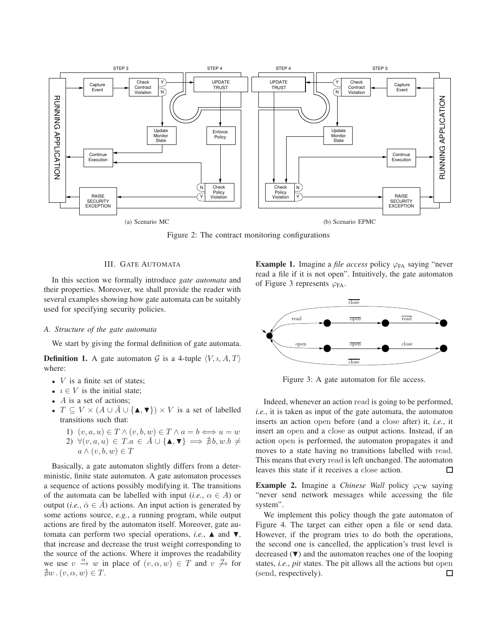

Figure 2: The contract monitoring configurations

# III. GATE AUTOMATA

In this section we formally introduce *gate automata* and their properties. Moreover, we shall provide the reader with several examples showing how gate automata can be suitably used for specifying security policies.

# *A. Structure of the gate automata*

We start by giving the formal definition of gate automata.

**Definition 1.** A gate automaton G is a 4-tuple  $\langle V, \iota, A, T \rangle$ where:

- $V$  is a finite set of states:
- $i \in V$  is the initial state;
- $\bullet$  A is a set of actions;
- $T \subseteq V \times (A \cup \overline{A} \cup {\bf{A}, \nabla}) \times V$  is a set of labelled transitions such that:
	- 1)  $(v, a, u) \in T \wedge (v, b, w) \in T \wedge a = b \Longleftrightarrow u = w$ 2)  $\forall (v, a, u) \in T.a \in \overline{A} \cup {\{\blacktriangle, \blacktriangledown\}} \implies \nexists b, w.b \neq$  $a \wedge (v, b, w) \in T$

Basically, a gate automaton slightly differs from a deterministic, finite state automaton. A gate automaton processes a sequence of actions possibly modifying it. The transitions of the automata can be labelled with input (*i.e.*,  $\alpha \in A$ ) or output (*i.e.*,  $\bar{\alpha} \in \bar{A}$ ) actions. An input action is generated by some actions source, *e.g.*, a running program, while output actions are fired by the automaton itself. Moreover, gate automata can perform two special operations, *i.e.*,  $\triangle$  and  $\nabla$ , that increase and decrease the trust weight corresponding to the source of the actions. Where it improves the readability we use  $v \stackrel{\alpha}{\rightarrow} w$  in place of  $(v, \alpha, w) \in T$  and  $v \not\stackrel{\alpha}{\rightarrow}$  for  $\exists w \ldotp (v, \alpha, w) \in T$ .

**Example 1.** Imagine a *file access* policy  $\varphi_{FA}$  saying "never read a file if it is not open". Intuitively, the gate automaton of Figure 3 represents  $\varphi_{FA}$ .



Figure 3: A gate automaton for file access.

Indeed, whenever an action read is going to be performed, *i.e.*, it is taken as input of the gate automata, the automaton inserts an action open before (and a close after) it, *i.e.*, it insert an open and a close as output actions. Instead, if an action open is performed, the automaton propagates it and moves to a state having no transitions labelled with read. This means that every read is left unchanged. The automaton leaves this state if it receives a close action.  $\Box$ 

**Example 2.** Imagine a *Chinese Wall* policy  $\varphi_{CW}$  saying "never send network messages while accessing the file system".

We implement this policy though the gate automaton of Figure 4. The target can either open a file or send data. However, if the program tries to do both the operations, the second one is cancelled, the application's trust level is decreased  $(\nabla)$  and the automaton reaches one of the looping states, *i.e.*, *pit* states. The pit allows all the actions but open (send, respectively).П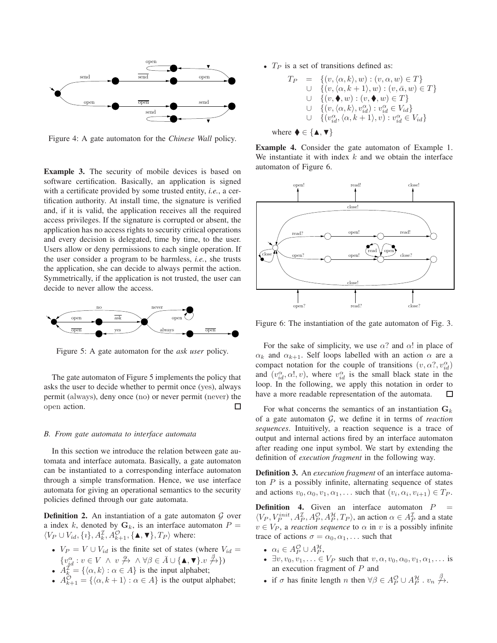

Figure 4: A gate automaton for the *Chinese Wall* policy.

**Example 3.** The security of mobile devices is based on software certification. Basically, an application is signed with a certificate provided by some trusted entity, *i.e.*, a certification authority. At install time, the signature is verified and, if it is valid, the application receives all the required access privileges. If the signature is corrupted or absent, the application has no access rights to security critical operations and every decision is delegated, time by time, to the user. Users allow or deny permissions to each single operation. If the user consider a program to be harmless, *i.e.*, she trusts the application, she can decide to always permit the action. Symmetrically, if the application is not trusted, the user can decide to never allow the access.



Figure 5: A gate automaton for the *ask user* policy.

The gate automaton of Figure 5 implements the policy that asks the user to decide whether to permit once (yes), always permit (always), deny once (no) or never permit (never) the open action. П

#### *B. From gate automata to interface automata*

In this section we introduce the relation between gate automata and interface automata. Basically, a gate automaton can be instantiated to a corresponding interface automaton through a simple transformation. Hence, we use interface automata for giving an operational semantics to the security policies defined through our gate automata.

**Definition 2.** An instantiation of a gate automaton  $G$  over a index k, denoted by  $G_k$ , is an interface automaton  $P =$  $\langle V_P \cup V_{id}, \{i\}, A_k^{\mathcal{I}}, A_{k+1}^{\mathcal{O}}, \{\blacktriangle, \blacktriangledown\}, T_P \rangle$  where:

- $V_P = V \cup V_{id}$  is the finite set of states (where  $V_{id} =$  $\{v_{id}^{\alpha}: v \in V \;\wedge\; v \not\stackrel{\alpha}{\to} \;\wedge \; \forall \beta \in \bar{A} \cup \{\blacktriangle, \blacktriangledown\} \ldots \not\stackrel{\beta}{\to} \})$
- $A_k^{\mathcal{I}} = \{\langle \alpha, k \rangle : \alpha \in A\}$  is the input alphabet;
- $A_{k+1}^{\mathcal{O}} = \{ \langle \alpha, k+1 \rangle : \alpha \in A \}$  is the output alphabet;

•  $T_P$  is a set of transitions defined as:

$$
T_P = \{ (v, \langle \alpha, k \rangle, w) : (v, \alpha, w) \in T \}
$$
  
\n
$$
\cup \{ (v, \langle \alpha, k+1 \rangle, w) : (v, \overline{\alpha}, w) \in T \}
$$
  
\n
$$
\cup \{ (v, \blacklozenge, w) : (v, \blacklozenge, w) \in T \}
$$
  
\n
$$
\cup \{ (v, \langle \alpha, k \rangle, v_{id}^{\alpha}) : v_{id}^{\alpha} \in V_{id} \}
$$
  
\n
$$
\cup \{ (v_{id}^{\alpha}, \langle \alpha, k+1 \rangle, v) : v_{id}^{\alpha} \in V_{id} \}
$$

where 
$$
\blacklozenge \in {\blacktriangle, \blacktriangledown}
$$

**Example 4.** Consider the gate automaton of Example 1. We instantiate it with index  $k$  and we obtain the interface automaton of Figure 6.



Figure 6: The instantiation of the gate automaton of Fig. 3.

For the sake of simplicity, we use  $\alpha$ ? and  $\alpha$ ! in place of  $\alpha_k$  and  $\alpha_{k+1}$ . Self loops labelled with an action  $\alpha$  are a compact notation for the couple of transitions  $(v, \alpha^2, v_{id}^{\alpha})$ and  $(v_{id}^{\alpha}, \alpha!, v)$ , where  $v_{id}^{\alpha}$  is the small black state in the loop. In the following, we apply this notation in order to have a more readable representation of the automata. □

For what concerns the semantics of an instantiation  $G_k$ of a gate automaton G, we define it in terms of *reaction sequences*. Intuitively, a reaction sequence is a trace of output and internal actions fired by an interface automaton after reading one input symbol. We start by extending the definition of *execution fragment* in the following way.

**Definition 3.** An *execution fragment* of an interface automaton  $P$  is a possibly infinite, alternating sequence of states and actions  $v_0, \alpha_0, v_1, \alpha_1, \ldots$  such that  $(v_i, \alpha_i, v_{i+1}) \in T_P$ .

**Definition 4.** Given an interface automaton  $P =$  $\langle V_P, V_P^{init}, A_P^{\mathcal{I}}, A_P^{\mathcal{O}}, A_P^{\mathcal{H}}, T_P \rangle$ , an action  $\alpha \in A_P^{\mathcal{I}}$  and a state  $v \in V_P$ , a *reaction sequence* to  $\alpha$  in v is a possibly infinite trace of actions  $\sigma = \alpha_0, \alpha_1, \dots$  such that

- $\alpha_i \in A_P^{\mathcal{O}} \cup A_P^{\mathcal{H}},$
- $\exists v, v_0, v_1, \ldots \in V_P$  such that  $v, \alpha, v_0, \alpha_0, v_1, \alpha_1, \ldots$  is an execution fragment of P and
- if  $\sigma$  has finite length n then  $\forall \beta \in A_P^{\mathcal{O}} \cup A_P^{\mathcal{H}}$ .  $v_n \not\stackrel{\beta}{\rightarrow}$ .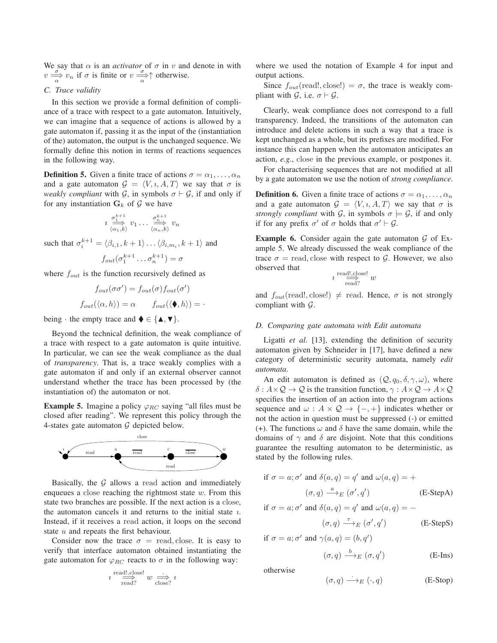We say that  $\alpha$  is an *activator* of  $\sigma$  in v and denote in with  $v \frac{\sigma}{\alpha} v_n$  if  $\sigma$  is finite or  $v \frac{\sigma}{\alpha} \uparrow$  otherwise.

# *C. Trace validity*

In this section we provide a formal definition of compliance of a trace with respect to a gate automaton. Intuitively, we can imagine that a sequence of actions is allowed by a gate automaton if, passing it as the input of the (instantiation of the) automaton, the output is the unchanged sequence. We formally define this notion in terms of reactions sequences in the following way.

**Definition 5.** Given a finite trace of actions  $\sigma = \alpha_1, \dots, \alpha_n$ and a gate automaton  $G = \langle V, \iota, A, T \rangle$  we say that  $\sigma$  is *weakly compliant* with  $G$ , in symbols  $\sigma \vdash G$ , if and only if for any instantiation  $G_k$  of  $G$  we have

$$
i \stackrel{\sigma_1^{k+1}}{\Longrightarrow} v_1 \dots \stackrel{\sigma_n^{k+1}}{\Longrightarrow} v_n
$$

such that  $\sigma_i^{k+1} = \langle \beta_{i,1}, k+1 \rangle \dots \langle \beta_{i,m_i}, k+1 \rangle$  and

$$
f_{out}(\sigma_1^{k+1}\dots\sigma_n^{k+1})=\sigma
$$

where  $f_{out}$  is the function recursively defined as

$$
f_{out}(\sigma\sigma') = f_{out}(\sigma) f_{out}(\sigma')
$$

$$
f_{out}(\langle \alpha, h \rangle) = \alpha \qquad f_{out}(\langle \blacklozenge, h \rangle) = \cdot
$$

being  $\cdot$  the empty trace and  $\blacklozenge \in {\{\blacktriangle, \blacktriangledown\}}$ .

Beyond the technical definition, the weak compliance of a trace with respect to a gate automaton is quite intuitive. In particular, we can see the weak compliance as the dual of *transparency*. That is, a trace weakly complies with a gate automaton if and only if an external observer cannot understand whether the trace has been processed by (the instantiation of) the automaton or not.

**Example 5.** Imagine a policy  $\varphi_{RC}$  saying "all files must be closed after reading". We represent this policy through the 4-states gate automaton  $G$  depicted below.



Basically, the  $G$  allows a read action and immediately enqueues a close reaching the rightmost state  $w$ . From this state two branches are possible. If the next action is a close, the automaton cancels it and returns to the initial state  $i$ . Instead, if it receives a read action, it loops on the second state  $u$  and repeats the first behaviour.

Consider now the trace  $\sigma$  = read, close. It is easy to verify that interface automaton obtained instantiating the gate automaton for  $\varphi_{RC}$  reacts to  $\sigma$  in the following way:

$$
u \overset{\text{read!,}.\text{close!}}{\underset{\text{read?}}{\Longrightarrow}} w \overset{\cdot}{\underset{\text{close?}}{\Longrightarrow}} u
$$

where we used the notation of Example 4 for input and output actions.

Since  $f_{out}$ (read!, close!) =  $\sigma$ , the trace is weakly compliant with  $\mathcal{G}$ , i.e.  $\sigma \vdash \mathcal{G}$ .

Clearly, weak compliance does not correspond to a full transparency. Indeed, the transitions of the automaton can introduce and delete actions in such a way that a trace is kept unchanged as a whole, but its prefixes are modified. For instance this can happen when the automaton anticipates an action, *e.g.*, close in the previous example, or postpones it.

For characterising sequences that are not modified at all by a gate automaton we use the notion of *strong compliance*.

**Definition 6.** Given a finite trace of actions  $\sigma = \alpha_1, \dots, \alpha_n$ and a gate automaton  $G = \langle V, \iota, A, T \rangle$  we say that  $\sigma$  is *strongly compliant* with  $\mathcal{G}$ , in symbols  $\sigma \models \mathcal{G}$ , if and only if for any prefix  $\sigma'$  of  $\sigma$  holds that  $\sigma' \vdash \mathcal{G}$ .

**Example 6.** Consider again the gate automaton  $G$  of Example 5. We already discussed the weak compliance of the trace  $\sigma$  = read, close with respect to G. However, we also observed that

$$
\imath \stackrel{\text{read!,}.\text{close!}}{\Longrightarrow} w
$$

and  $f_{out}(\text{read!}, \text{close!}) \neq \text{read}$ . Hence,  $\sigma$  is not strongly compliant with  $\mathcal{G}$ .

# *D. Comparing gate automata with Edit automata*

Ligatti *et al.* [13], extending the definition of security automaton given by Schneider in [17], have defined a new category of deterministic security automata, namely *edit automata*.

An edit automaton is defined as  $(Q, q_0, \delta, \gamma, \omega)$ , where  $\delta: A \times Q \rightarrow Q$  is the transition function,  $\gamma: A \times Q \rightarrow A \times Q$ specifies the insertion of an action into the program actions sequence and  $\omega$  :  $A \times Q \rightarrow \{-, +\}$  indicates whether or not the action in question must be suppressed (-) or emitted (+). The functions  $\omega$  and  $\delta$  have the same domain, while the domains of  $\gamma$  and  $\delta$  are disjoint. Note that this conditions guarantee the resulting automaton to be deterministic, as stated by the following rules.

if 
$$
\sigma = a
$$
;  $\sigma'$  and  $\delta(a, q) = q'$  and  $\omega(a, q) = +$   
 $(\sigma, q) \xrightarrow{a} E(\sigma', q')$  (E-StepA)

if  $\sigma = a$ ;  $\sigma'$  and  $\delta(a, q) = q'$  and  $\omega(a, q) = -$ 

$$
(\sigma, q) \xrightarrow{\tau}{}_{E} (\sigma', q') \qquad \qquad \text{(E-Step S)}
$$

if 
$$
\sigma = a; \sigma'
$$
 and  $\gamma(a, q) = (b, q')$   

$$
(\sigma, q) \xrightarrow{b} E (\sigma, q')
$$

otherwise

$$
(\sigma, q) \longrightarrow_{E} (\cdot, q) \qquad \qquad (E\text{-Stop})
$$

) (E-Ins)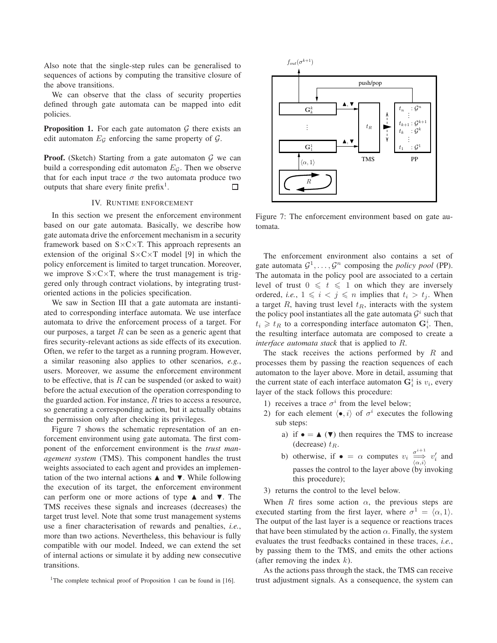Also note that the single-step rules can be generalised to sequences of actions by computing the transitive closure of the above transitions.

We can observe that the class of security properties defined through gate automata can be mapped into edit policies.

**Proposition 1.** For each gate automaton  $G$  there exists an edit automaton  $E_{\mathcal{G}}$  enforcing the same property of  $\mathcal{G}$ .

**Proof.** (Sketch) Starting from a gate automaton  $G$  we can build a corresponding edit automaton  $E_G$ . Then we observe that for each input trace  $\sigma$  the two automata produce two outputs that share every finite prefix<sup>1</sup>.  $\Box$ 

# IV. RUNTIME ENFORCEMENT

In this section we present the enforcement environment based on our gate automata. Basically, we describe how gate automata drive the enforcement mechanism in a security framework based on  $S \times C \times T$ . This approach represents an extension of the original  $S \times C \times T$  model [9] in which the policy enforcement is limited to target truncation. Moreover, we improve  $S \times C \times T$ , where the trust management is triggered only through contract violations, by integrating trustoriented actions in the policies specification.

We saw in Section III that a gate automata are instantiated to corresponding interface automata. We use interface automata to drive the enforcement process of a target. For our purposes, a target  $R$  can be seen as a generic agent that fires security-relevant actions as side effects of its execution. Often, we refer to the target as a running program. However, a similar reasoning also applies to other scenarios, *e.g.*, users. Moreover, we assume the enforcement environment to be effective, that is  $R$  can be suspended (or asked to wait) before the actual execution of the operation corresponding to the guarded action. For instance,  $R$  tries to access a resource, so generating a corresponding action, but it actually obtains the permission only after checking its privileges.

Figure 7 shows the schematic representation of an enforcement environment using gate automata. The first component of the enforcement environment is the *trust management system* (TMS). This component handles the trust weights associated to each agent and provides an implementation of the two internal actions  $\blacktriangle$  and  $\nabla$ . While following the execution of its target, the enforcement environment can perform one or more actions of type  $\blacktriangle$  and  $\nabla$ . The TMS receives these signals and increases (decreases) the target trust level. Note that some trust management systems use a finer characterisation of rewards and penalties, *i.e.*, more than two actions. Nevertheless, this behaviour is fully compatible with our model. Indeed, we can extend the set of internal actions or simulate it by adding new consecutive transitions.

<sup>1</sup>The complete technical proof of Proposition 1 can be found in [16].



Figure 7: The enforcement environment based on gate automata.

The enforcement environment also contains a set of gate automata  $\mathcal{G}^1, \ldots, \mathcal{G}^n$  composing the *policy pool* (PP). The automata in the policy pool are associated to a certain level of trust  $0 \leq t \leq 1$  on which they are inversely ordered, *i.e.*,  $1 \leq i \leq j \leq n$  implies that  $t_i > t_j$ . When a target  $R$ , having trust level  $t<sub>R</sub>$ , interacts with the system the policy pool instantiates all the gate automata  $\mathcal{G}^i$  such that  $t_i \geq t_R$  to a corresponding interface automaton  $G_i^i$ . Then, the resulting interface automata are composed to create a *interface automata stack* that is applied to R.

The stack receives the actions performed by  $R$  and processes them by passing the reaction sequences of each automaton to the layer above. More in detail, assuming that the current state of each interface automaton  $\mathbf{G}_i^i$  is  $v_i$ , every layer of the stack follows this procedure:

- 1) receives a trace  $\sigma^i$  from the level below;
- 2) for each element  $\langle \bullet, i \rangle$  of  $\sigma^i$  executes the following sub steps:
	- a) if  $\bullet = \blacktriangle (\blacktriangledown)$  then requires the TMS to increase (decrease)  $t_R$ .
	- b) otherwise, if  $\bullet = \alpha$  computes  $v_i \xrightarrow[\langle \alpha, i \rangle]{\sigma^{i+1}} v'_i$  and passes the control to the layer above (by invoking this procedure);
- 3) returns the control to the level below.

When R fires some action  $\alpha$ , the previous steps are executed starting from the first layer, where  $\sigma^1 = \langle \alpha, 1 \rangle$ . The output of the last layer is a sequence or reactions traces that have been stimulated by the action  $\alpha$ . Finally, the system evaluates the trust feedbacks contained in these traces, *i.e.*, by passing them to the TMS, and emits the other actions (after removing the index  $k$ ).

As the actions pass through the stack, the TMS can receive trust adjustment signals. As a consequence, the system can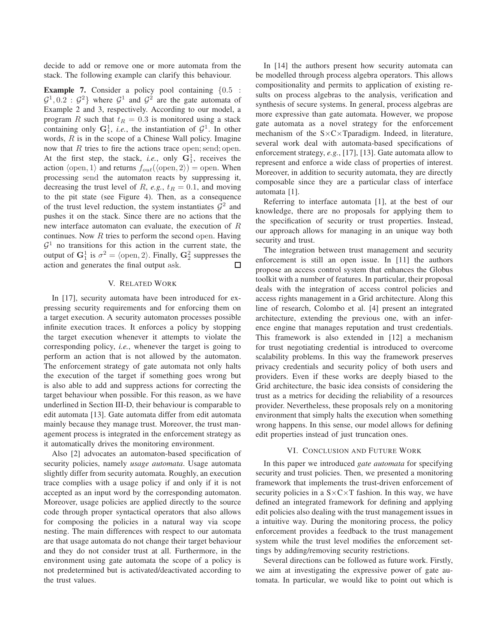decide to add or remove one or more automata from the stack. The following example can clarify this behaviour.

**Example 7.** Consider a policy pool containing  $\{0.5$ :  $\mathcal{G}^1$ , 0.2 :  $\mathcal{G}^2$ } where  $\mathcal{G}^1$  and  $\mathcal{G}^2$  are the gate automata of Example 2 and 3, respectively. According to our model, a program R such that  $t_R = 0.3$  is monitored using a stack containing only  $G_1^1$ , *i.e.*, the instantiation of  $G^1$ . In other words,  $R$  is in the scope of a Chinese Wall policy. Imagine now that R tries to fire the actions trace open; send; open. At the first step, the stack, *i.e.*, only  $G_1^1$ , receives the action  $\langle$ open, 1 $\rangle$  and returns  $f_{out}(\langle$ open, 2 $\rangle) =$ open. When processing send the automaton reacts by suppressing it, decreasing the trust level of R, *e.g.*,  $t_R = 0.1$ , and moving to the pit state (see Figure 4). Then, as a consequence of the trust level reduction, the system instantiates  $\mathcal{G}^2$  and pushes it on the stack. Since there are no actions that the new interface automaton can evaluate, the execution of R continues. Now  $R$  tries to perform the second open. Having  $\mathcal{G}^1$  no transitions for this action in the current state, the output of  $G_1^1$  is  $\sigma^2 = \langle$  open, 2 $\rangle$ . Finally,  $G_2^2$  suppresses the action and generates the final output ask. □

# V. RELATED WORK

In [17], security automata have been introduced for expressing security requirements and for enforcing them on a target execution. A security automaton processes possible infinite execution traces. It enforces a policy by stopping the target execution whenever it attempts to violate the corresponding policy, *i.e.*, whenever the target is going to perform an action that is not allowed by the automaton. The enforcement strategy of gate automata not only halts the execution of the target if something goes wrong but is also able to add and suppress actions for correcting the target behaviour when possible. For this reason, as we have underlined in Section III-D, their behaviour is comparable to edit automata [13]. Gate automata differ from edit automata mainly because they manage trust. Moreover, the trust management process is integrated in the enforcement strategy as it automatically drives the monitoring environment.

Also [2] advocates an automaton-based specification of security policies, namely *usage automata*. Usage automata slightly differ from security automata. Roughly, an execution trace complies with a usage policy if and only if it is not accepted as an input word by the corresponding automaton. Moreover, usage policies are applied directly to the source code through proper syntactical operators that also allows for composing the policies in a natural way via scope nesting. The main differences with respect to our automata are that usage automata do not change their target behaviour and they do not consider trust at all. Furthermore, in the environment using gate automata the scope of a policy is not predetermined but is activated/deactivated according to the trust values.

In [14] the authors present how security automata can be modelled through process algebra operators. This allows compositionality and permits to application of existing results on process algebras to the analysis, verification and synthesis of secure systems. In general, process algebras are more expressive than gate automata. However, we propose gate automata as a novel strategy for the enforcement mechanism of the S×C×Tparadigm. Indeed, in literature, several work deal with automata-based specifications of enforcement strategy, *e.g.*, [17], [13]. Gate automata allow to represent and enforce a wide class of properties of interest. Moreover, in addition to security automata, they are directly composable since they are a particular class of interface automata [1].

Referring to interface automata [1], at the best of our knowledge, there are no proposals for applying them to the specification of security or trust properties. Instead, our approach allows for managing in an unique way both security and trust.

The integration between trust management and security enforcement is still an open issue. In [11] the authors propose an access control system that enhances the Globus toolkit with a number of features. In particular, their proposal deals with the integration of access control policies and access rights management in a Grid architecture. Along this line of research, Colombo et al. [4] present an integrated architecture, extending the previous one, with an inference engine that manages reputation and trust credentials. This framework is also extended in [12] a mechanism for trust negotiating credential is introduced to overcome scalability problems. In this way the framework preserves privacy credentials and security policy of both users and providers. Even if these works are deeply biased to the Grid architecture, the basic idea consists of considering the trust as a metrics for deciding the reliability of a resources provider. Nevertheless, these proposals rely on a monitoring environment that simply halts the execution when something wrong happens. In this sense, our model allows for defining edit properties instead of just truncation ones.

### VI. CONCLUSION AND FUTURE WORK

In this paper we introduced *gate automata* for specifying security and trust policies. Then, we presented a monitoring framework that implements the trust-driven enforcement of security policies in a  $S \times C \times T$  fashion. In this way, we have defined an integrated framework for defining and applying edit policies also dealing with the trust management issues in a intuitive way. During the monitoring process, the policy enforcement provides a feedback to the trust management system while the trust level modifies the enforcement settings by adding/removing security restrictions.

Several directions can be followed as future work. Firstly, we aim at investigating the expressive power of gate automata. In particular, we would like to point out which is